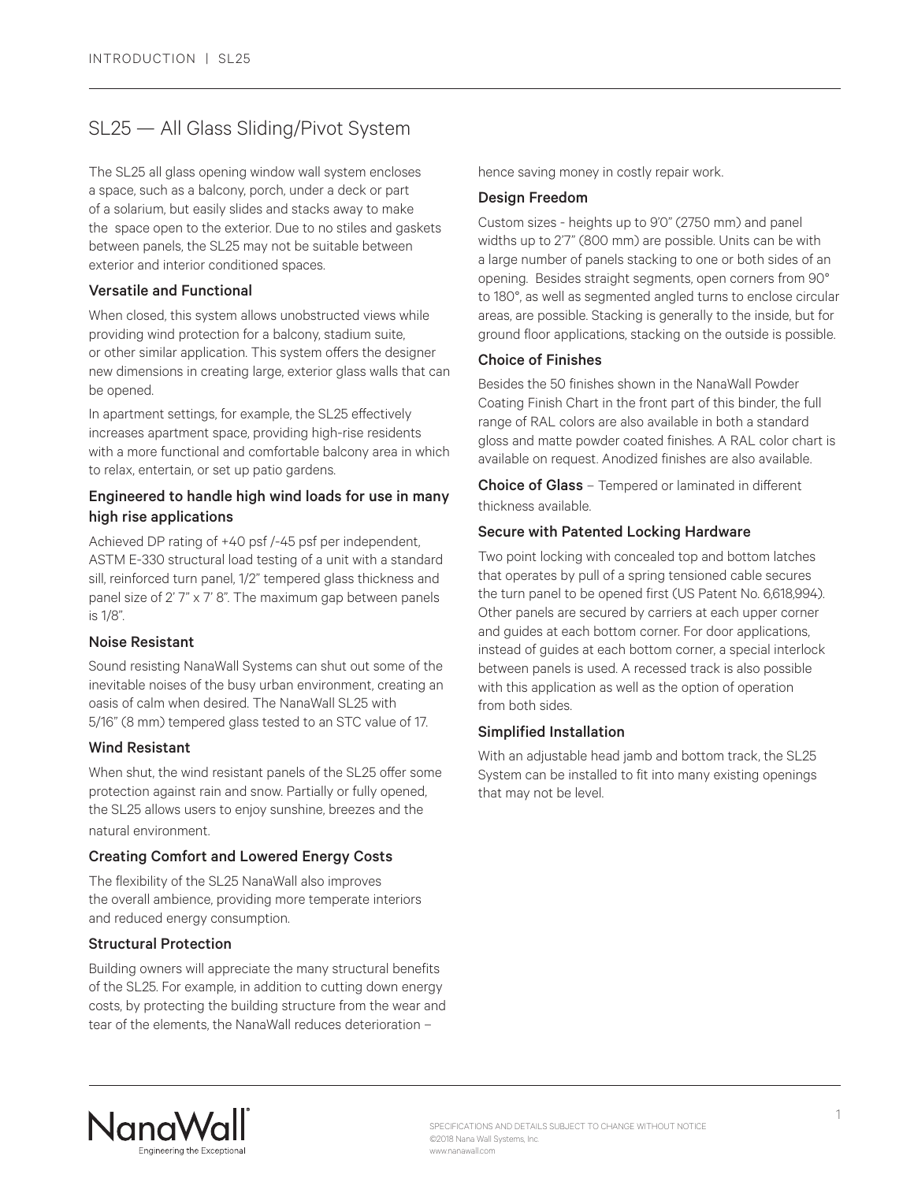# SL25 — All Glass Sliding/Pivot System

The SL25 all glass opening window wall system encloses a space, such as a balcony, porch, under a deck or part of a solarium, but easily slides and stacks away to make the space open to the exterior. Due to no stiles and gaskets between panels, the SL25 may not be suitable between exterior and interior conditioned spaces.

# Versatile and Functional

When closed, this system allows unobstructed views while providing wind protection for a balcony, stadium suite, or other similar application. This system offers the designer new dimensions in creating large, exterior glass walls that can be opened.

In apartment settings, for example, the SL25 effectively increases apartment space, providing high-rise residents with a more functional and comfortable balcony area in which to relax, entertain, or set up patio gardens.

# Engineered to handle high wind loads for use in many high rise applications

Achieved DP rating of +40 psf /-45 psf per independent, ASTM E-330 structural load testing of a unit with a standard sill, reinforced turn panel, 1/2" tempered glass thickness and panel size of 2' 7" x 7' 8". The maximum gap between panels is 1/8".

# Noise Resistant

Sound resisting NanaWall Systems can shut out some of the inevitable noises of the busy urban environment, creating an oasis of calm when desired. The NanaWall SL25 with 5/16" (8 mm) tempered glass tested to an STC value of 17.

# Wind Resistant

When shut, the wind resistant panels of the SL25 offer some protection against rain and snow. Partially or fully opened, the SL25 allows users to enjoy sunshine, breezes and the natural environment.

# Creating Comfort and Lowered Energy Costs

The flexibility of the SL25 NanaWall also improves the overall ambience, providing more temperate interiors and reduced energy consumption.

# Structural Protection

Building owners will appreciate the many structural benefits of the SL25. For example, in addition to cutting down energy costs, by protecting the building structure from the wear and tear of the elements, the NanaWall reduces deterioration –

hence saving money in costly repair work.

# Design Freedom

Custom sizes - heights up to 9'0" (2750 mm) and panel widths up to 2'7" (800 mm) are possible. Units can be with a large number of panels stacking to one or both sides of an opening. Besides straight segments, open corners from 90° to 180°, as well as segmented angled turns to enclose circular areas, are possible. Stacking is generally to the inside, but for ground floor applications, stacking on the outside is possible.

# Choice of Finishes

Besides the 50 finishes shown in the NanaWall Powder Coating Finish Chart in the front part of this binder, the full range of RAL colors are also available in both a standard gloss and matte powder coated finishes. A RAL color chart is available on request. Anodized finishes are also available.

Choice of Glass - Tempered or laminated in different thickness available.

# Secure with Patented Locking Hardware

Two point locking with concealed top and bottom latches that operates by pull of a spring tensioned cable secures the turn panel to be opened first (US Patent No. 6,618,994). Other panels are secured by carriers at each upper corner and guides at each bottom corner. For door applications, instead of guides at each bottom corner, a special interlock between panels is used. A recessed track is also possible with this application as well as the option of operation from both sides.

# Simplified Installation

With an adjustable head jamb and bottom track, the SL25 System can be installed to fit into many existing openings that may not be level.

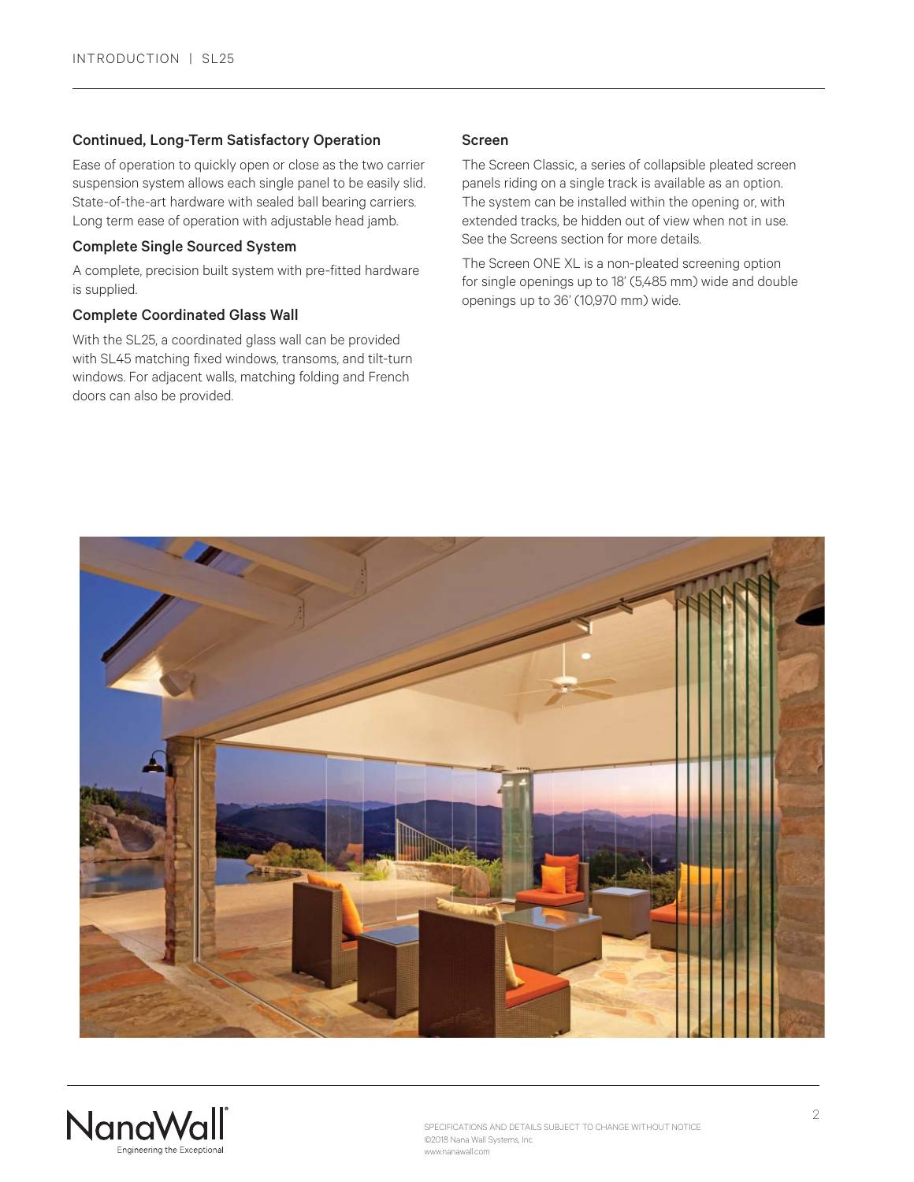# Continued, Long-Term Satisfactory Operation

Ease of operation to quickly open or close as the two carrier suspension system allows each single panel to be easily slid. State-of-the-art hardware with sealed ball bearing carriers. Long term ease of operation with adjustable head jamb.

# Complete Single Sourced System

A complete, precision built system with pre-fitted hardware is supplied.

# Complete Coordinated Glass Wall

With the SL25, a coordinated glass wall can be provided with SL45 matching fixed windows, transoms, and tilt-turn windows. For adjacent walls, matching folding and French doors can also be provided.

# Screen

The Screen Classic, a series of collapsible pleated screen panels riding on a single track is available as an option. The system can be installed within the opening or, with extended tracks, be hidden out of view when not in use. See the Screens section for more details.

The Screen ONE XL is a non-pleated screening option for single openings up to 18' (5,485 mm) wide and double openings up to 36' (10,970 mm) wide.



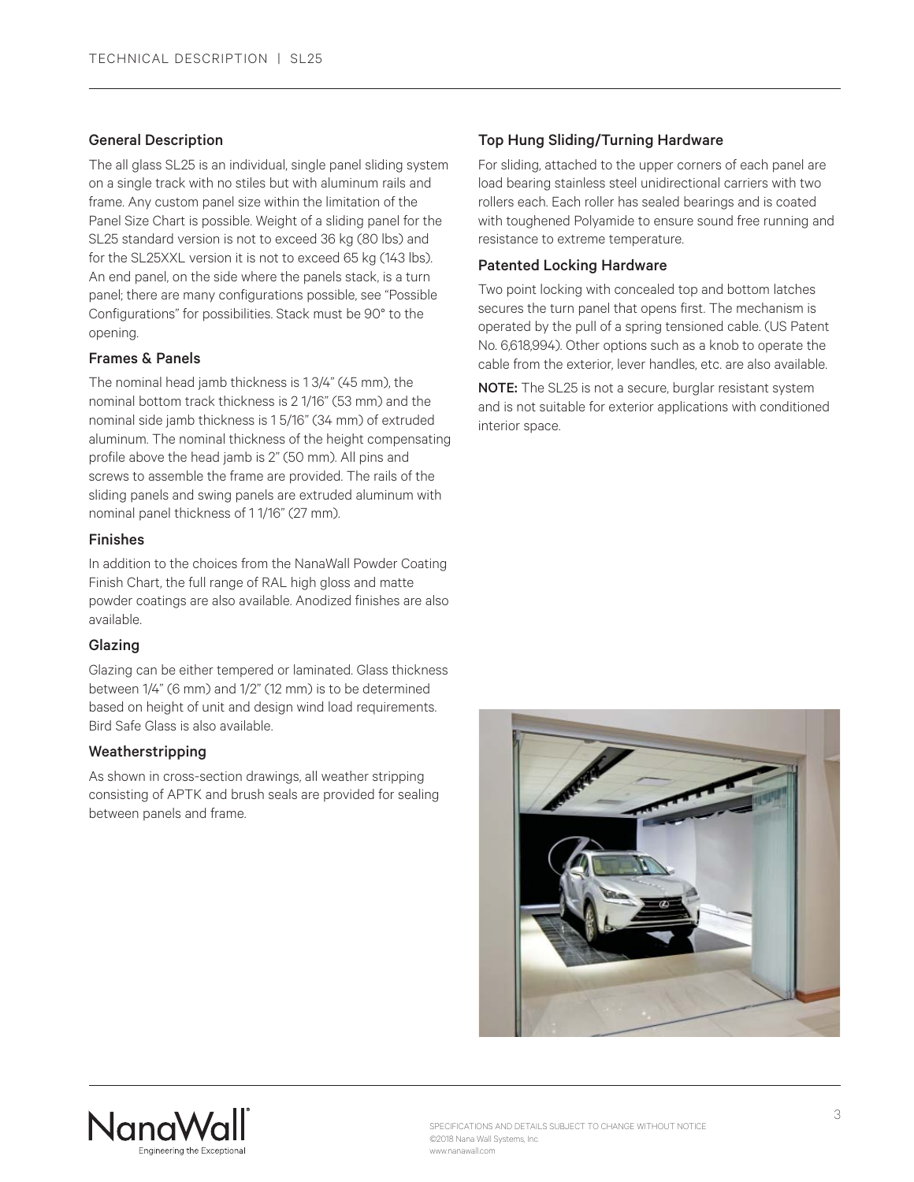#### General Description

The all glass SL25 is an individual, single panel sliding system on a single track with no stiles but with aluminum rails and frame. Any custom panel size within the limitation of the Panel Size Chart is possible. Weight of a sliding panel for the SL25 standard version is not to exceed 36 kg (80 lbs) and for the SL25XXL version it is not to exceed 65 kg (143 lbs). An end panel, on the side where the panels stack, is a turn panel; there are many configurations possible, see "Possible Configurations" for possibilities. Stack must be 90° to the opening.

# Frames & Panels

The nominal head jamb thickness is 1 3/4" (45 mm), the nominal bottom track thickness is 2 1/16" (53 mm) and the nominal side jamb thickness is 1 5/16" (34 mm) of extruded aluminum. The nominal thickness of the height compensating profile above the head jamb is 2" (50 mm). All pins and screws to assemble the frame are provided. The rails of the sliding panels and swing panels are extruded aluminum with nominal panel thickness of 1 1/16" (27 mm).

#### Finishes

In addition to the choices from the NanaWall Powder Coating Finish Chart, the full range of RAL high gloss and matte powder coatings are also available. Anodized finishes are also available.

# Glazing

Glazing can be either tempered or laminated. Glass thickness between 1/4" (6 mm) and 1/2" (12 mm) is to be determined based on height of unit and design wind load requirements. Bird Safe Glass is also available.

# Weatherstripping

As shown in cross-section drawings, all weather stripping consisting of APTK and brush seals are provided for sealing between panels and frame.

# Top Hung Sliding/Turning Hardware

For sliding, attached to the upper corners of each panel are load bearing stainless steel unidirectional carriers with two rollers each. Each roller has sealed bearings and is coated with toughened Polyamide to ensure sound free running and resistance to extreme temperature.

#### Patented Locking Hardware

Two point locking with concealed top and bottom latches secures the turn panel that opens first. The mechanism is operated by the pull of a spring tensioned cable. (US Patent No. 6,618,994). Other options such as a knob to operate the cable from the exterior, lever handles, etc. are also available.

NOTE: The SL25 is not a secure, burglar resistant system and is not suitable for exterior applications with conditioned interior space.



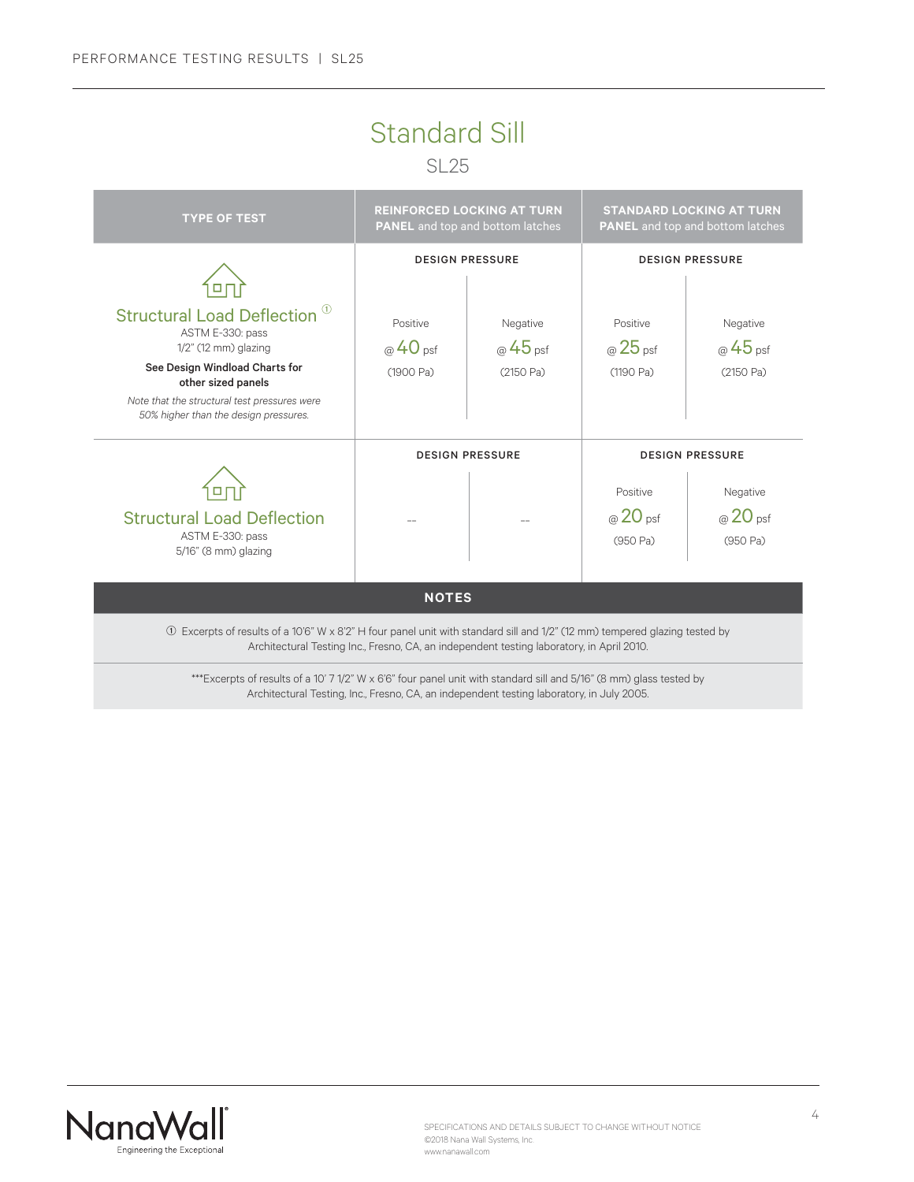# Standard Sill

SL<sub>25</sub>



Architectural Testing, Inc., Fresno, CA, an independent testing laboratory, in July 2005.

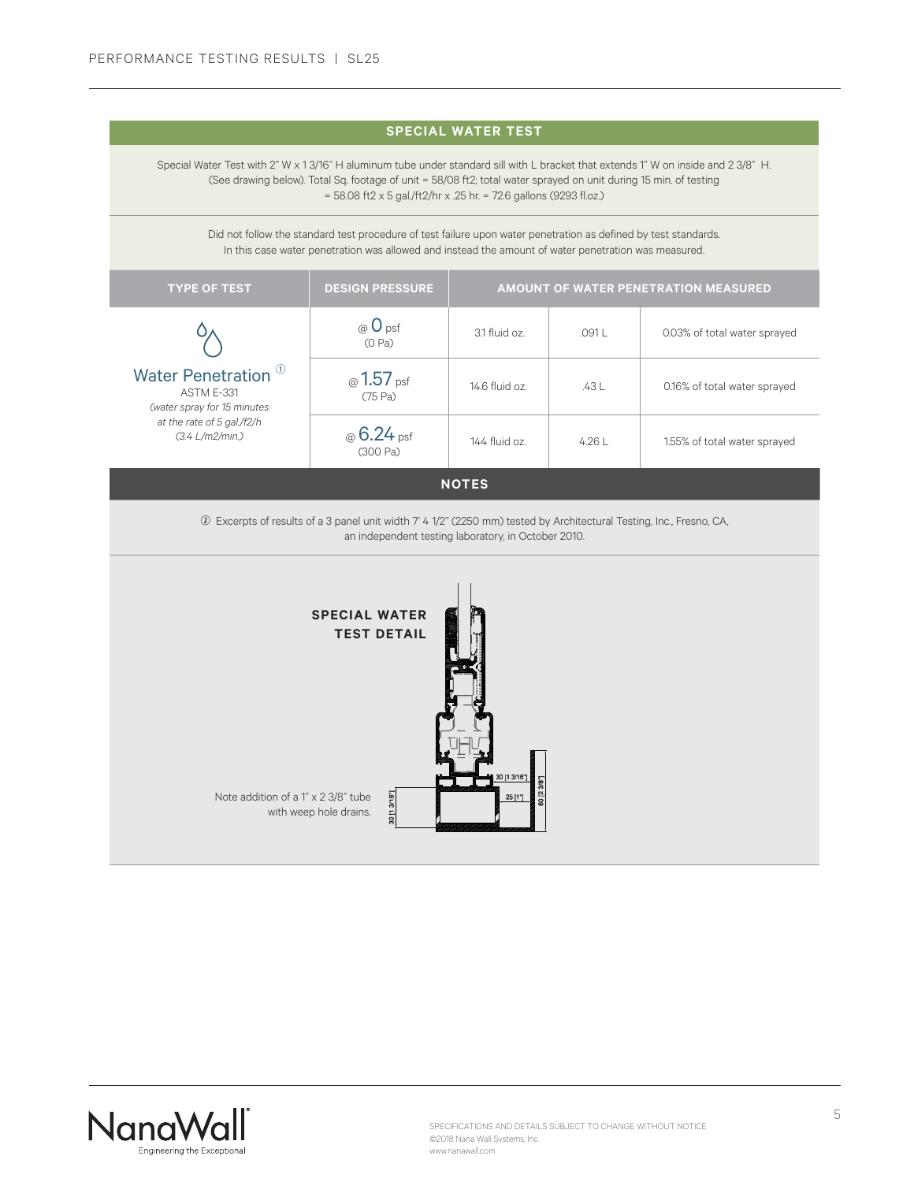| <b>SPECIAL WATER TEST</b>                                                                                                                                                                                                                                                                                                                      |                                                                                                                                                                                                                         |                                      |        |                              |  |  |
|------------------------------------------------------------------------------------------------------------------------------------------------------------------------------------------------------------------------------------------------------------------------------------------------------------------------------------------------|-------------------------------------------------------------------------------------------------------------------------------------------------------------------------------------------------------------------------|--------------------------------------|--------|------------------------------|--|--|
| Special Water Test with 2" W x 1 3/16" H aluminum tube under standard sill with L bracket that extends 1" W on inside and 2 3/8" H.<br>(See drawing below). Total Sq. footage of unit = 58/08 ft2; total water sprayed on unit during 15 min. of testing<br>= 58.08 ft2 x 5 gal./ft2/hr x .25 hr. = 72.6 gallons (9293 fl.oz.)                 |                                                                                                                                                                                                                         |                                      |        |                              |  |  |
|                                                                                                                                                                                                                                                                                                                                                | Did not follow the standard test procedure of test failure upon water penetration as defined by test standards.<br>In this case water penetration was allowed and instead the amount of water penetration was measured. |                                      |        |                              |  |  |
| <b>TYPE OF TEST</b>                                                                                                                                                                                                                                                                                                                            | <b>DESIGN PRESSURE</b>                                                                                                                                                                                                  | AMOUNT OF WATER PENETRATION MEASURED |        |                              |  |  |
|                                                                                                                                                                                                                                                                                                                                                | $\circledcirc$ O psf<br>(O Pa)                                                                                                                                                                                          | 3.1 fluid oz.                        | .091 L | 0.03% of total water sprayed |  |  |
| Water Penetration <sup>0</sup><br>ASTM E-331<br>(water spray for 15 minutes<br>at the rate of 5 gal./f2/h<br>(3.4 L/m2/min.)                                                                                                                                                                                                                   | @1.57 <sub>psf</sub><br>(75 Pa)                                                                                                                                                                                         | 14.6 fluid oz.                       | .43 L  | 0.16% of total water sprayed |  |  |
|                                                                                                                                                                                                                                                                                                                                                | $@6.24$ psf<br>(300 Pa)                                                                                                                                                                                                 | 144 fluid oz.                        | 4.26 L | 1.55% of total water sprayed |  |  |
|                                                                                                                                                                                                                                                                                                                                                |                                                                                                                                                                                                                         | <b>NOTES</b>                         |        |                              |  |  |
| 2 Excerpts of results of a 3 panel unit width 7' 4 1/2" (2250 mm) tested by Architectural Testing, Inc., Fresno, CA,<br>an independent testing laboratory, in October 2010.<br><b>SPECIAL WATER</b><br><b>TEST DETAIL</b><br>30 [1 3/16"]<br>[23/8"<br>Note addition of a 1" x 2 3/8" tube<br>10 [1 3/16"<br>25 [1"]<br>with weep hole drains. |                                                                                                                                                                                                                         |                                      |        |                              |  |  |

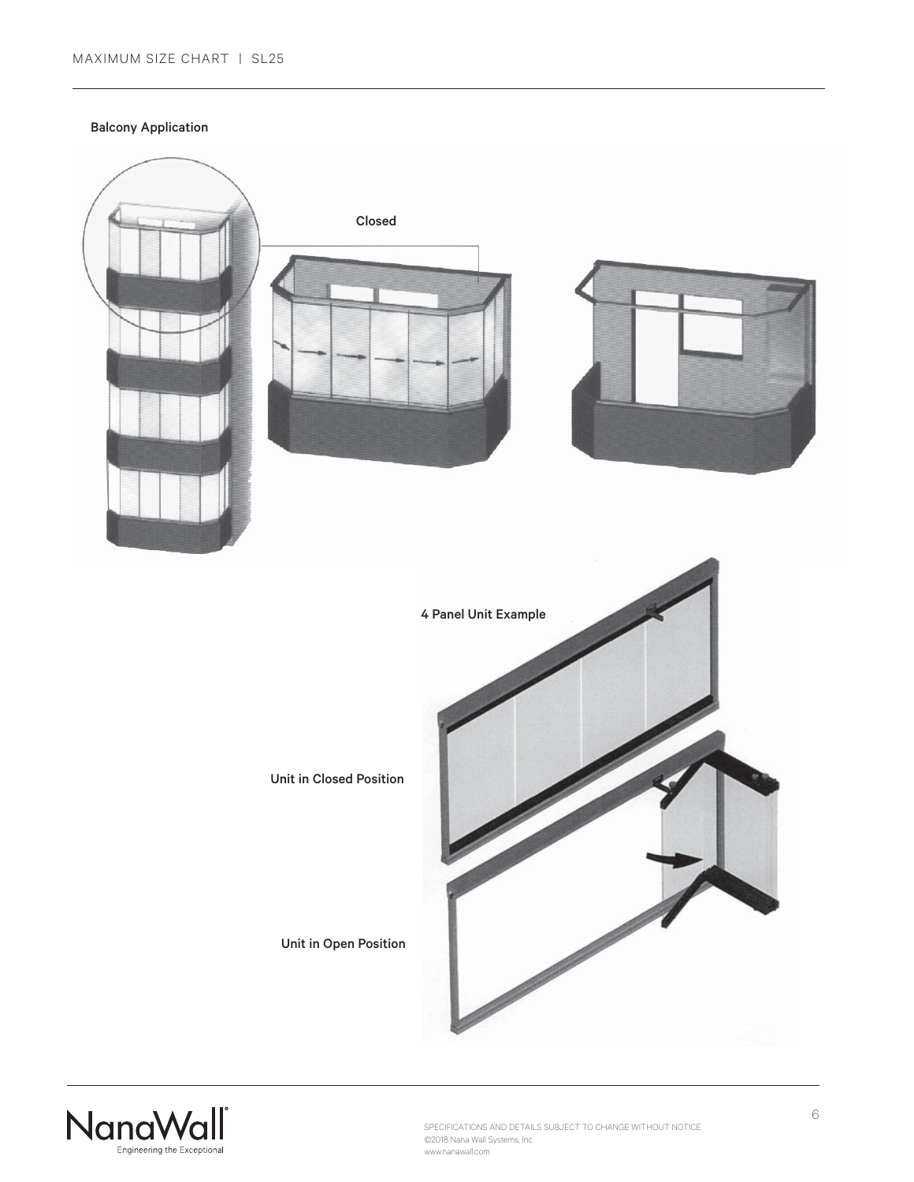Balcony Application



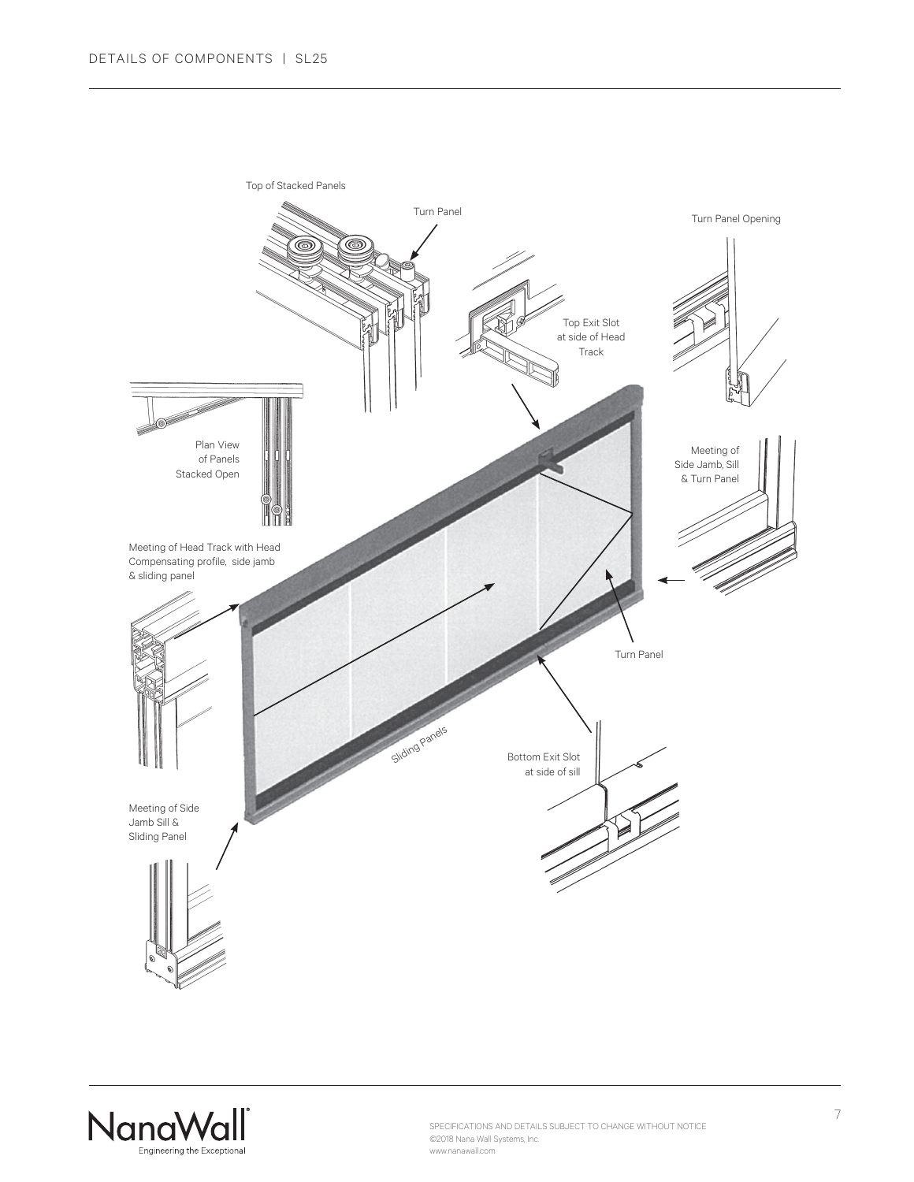

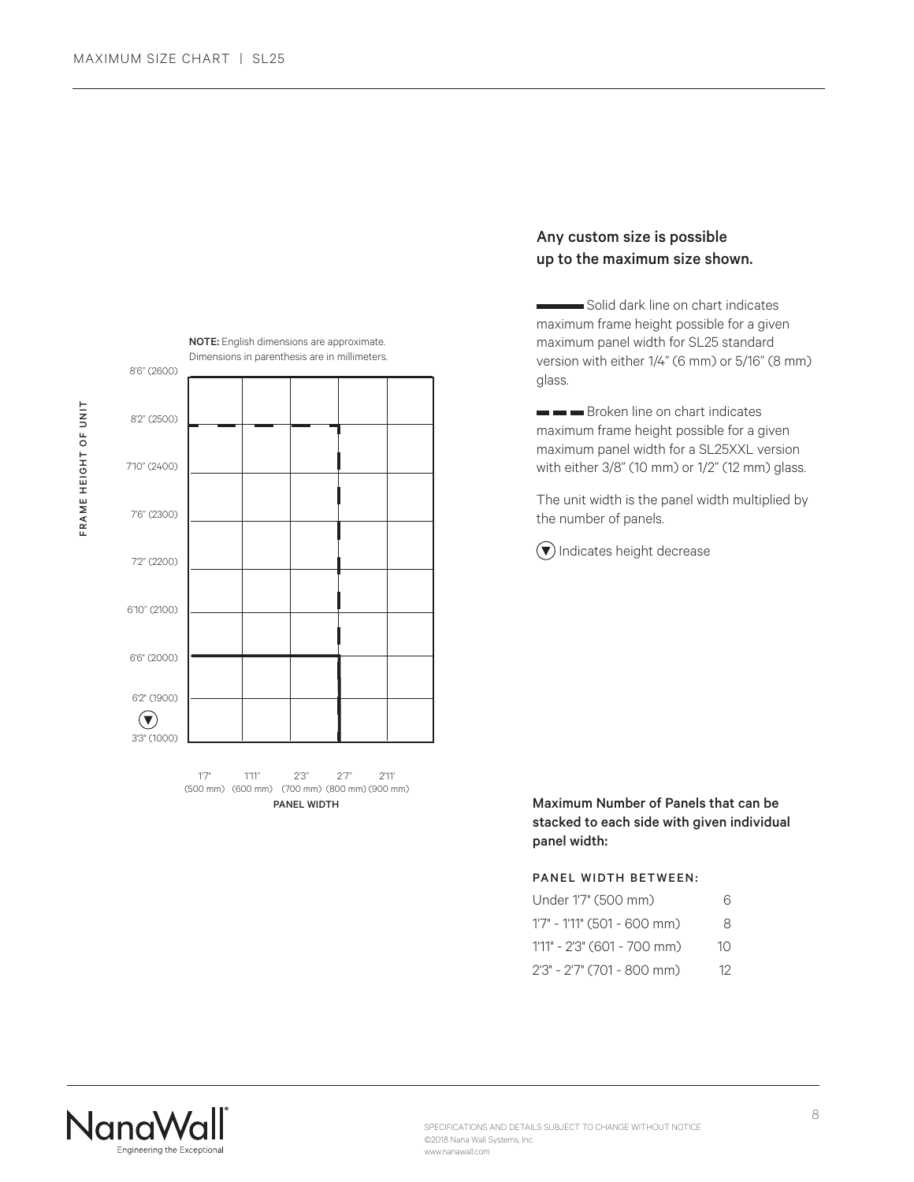



 (500 mm) (600 mm) (700 mm) (800 mm) (900 mm) PANEL WIDTH

# Any custom size is possible up to the maximum size shown.

 Solid dark line on chart indicates maximum frame height possible for a given maximum panel width for SL25 standard version with either 1/4" (6 mm) or 5/16" (8 mm) glass.

Broken line on chart indicates maximum frame height possible for a given maximum panel width for a SL25XXL version with either 3/8" (10 mm) or 1/2" (12 mm) glass.

The unit width is the panel width multiplied by the number of panels.

 $\left(\blacktriangledown\right)$  Indicates height decrease

Maximum Number of Panels that can be stacked to each side with given individual panel width:

#### PANEL WIDTH BETWEEN:

| Under 1'7" (500 mm)             | 6  |
|---------------------------------|----|
| $1'7'' - 1'11'' (501 - 600 mm)$ | 8  |
| $1'11'' - 2'3''$ (601 - 700 mm) | 10 |
| 2'3" - 2'7" (701 - 800 mm)      | 12 |

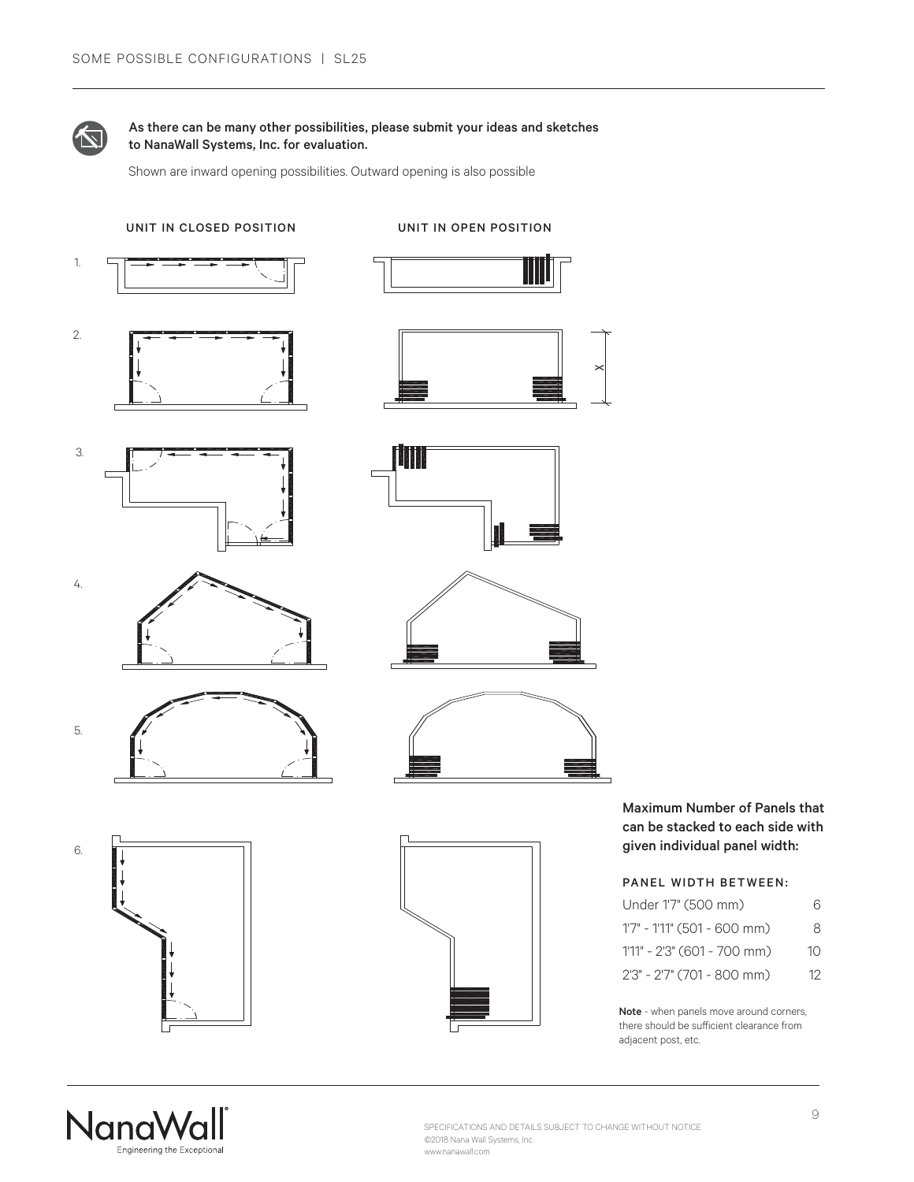

# As there can be many other possibilities, please submit your ideas and sketches to NanaWall Systems, Inc. for evaluation.

Shown are inward opening possibilities. Outward opening is also possible



Maximum Number of Panels that can be stacked to each side with given individual panel width:

# PANEL WIDTH BETWEEN:

| Under 1'7" (500 mm)         | 6  |
|-----------------------------|----|
| 1'7" - 1'11" (501 - 600 mm) | 8  |
| 1'11" - 2'3" (601 - 700 mm) | 10 |
| 2'3" - 2'7" (701 - 800 mm)  | 12 |

Note - when panels move around corners, there should be sufficient clearance from adjacent post, etc.

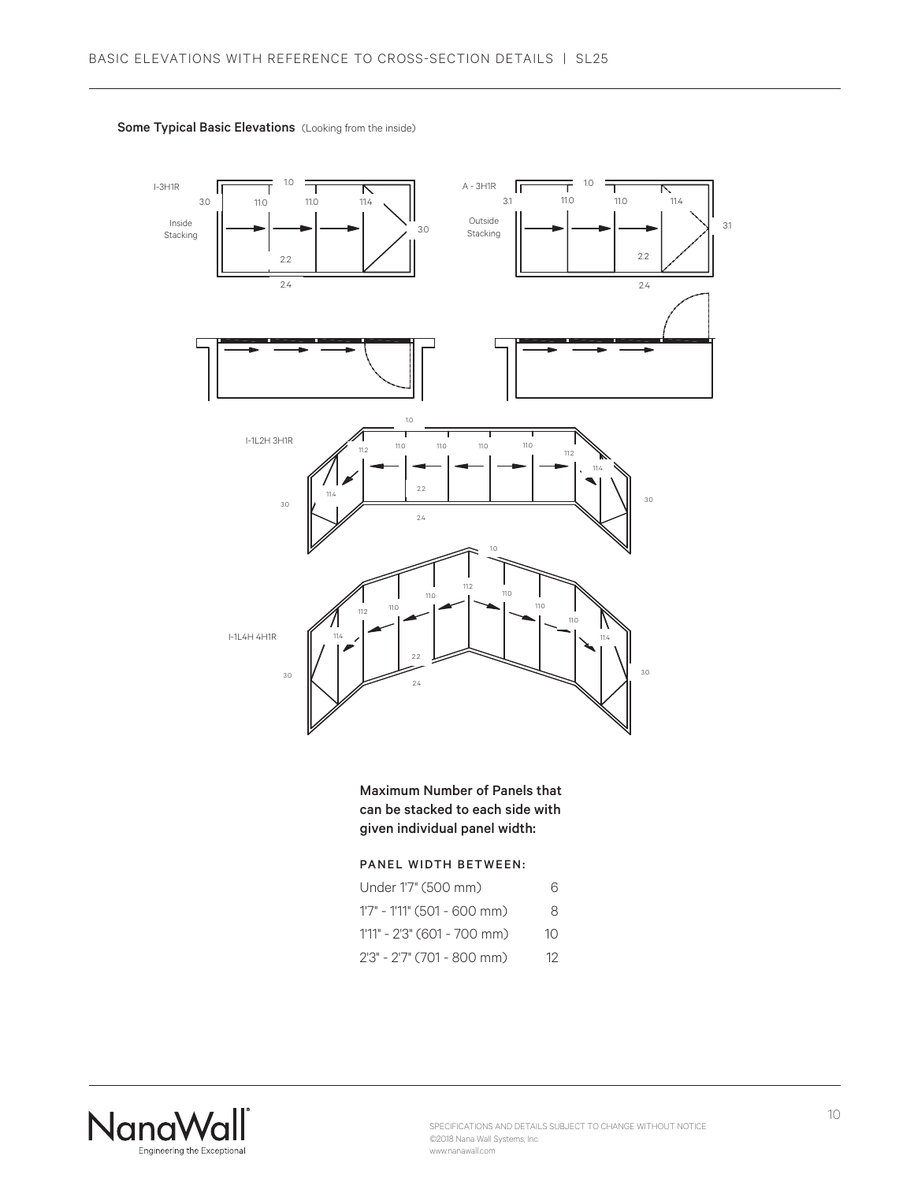

Some Typical Basic Elevations (Looking from the inside)

Maximum Number of Panels that can be stacked to each side with given individual panel width:

# PANEL WIDTH BETWEEN:

| Under 1'7" (500 mm)         | 6  |
|-----------------------------|----|
| 1'7" - 1'11" (501 - 600 mm) | 8  |
| 1'11" - 2'3" (601 - 700 mm) | 10 |
| 2'3" - 2'7" (701 - 800 mm)  | 12 |

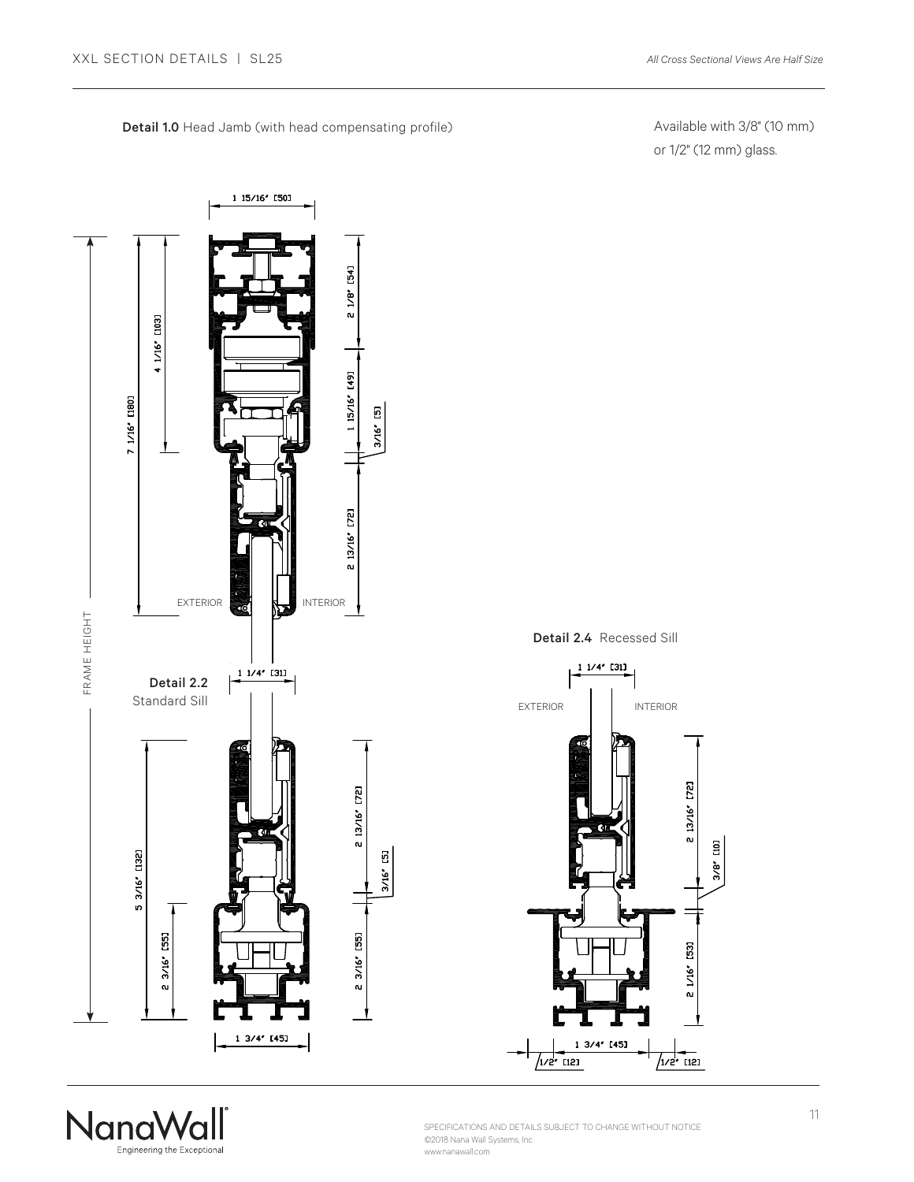Detail 1.0 Head Jamb (with head compensating profile)

Available with 3/8" (10 mm) or 1/2" (12 mm) glass.





Detail 2.4 Recessed Sill



SPECIFICATIONS AND DETAILS SUBJECT TO CHANGE WITHOUT NOTICE ©2018 Nana Wall Systems, Inc. www.nanawall.com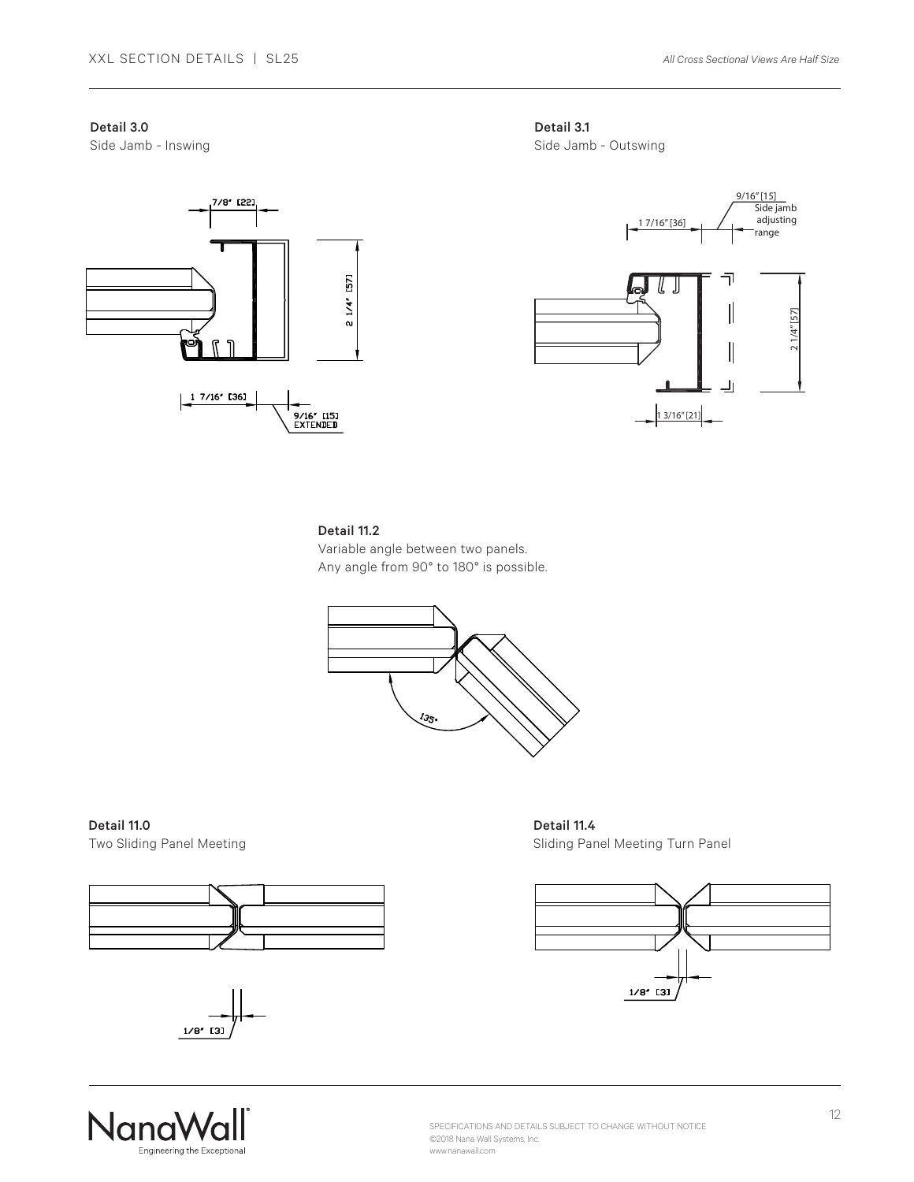# Detail 3.0

Side Jamb - Inswing







#### Detail 11.2

Variable angle between two panels. Any angle from 90° to 180° is possible.



Detail 11.0 Two Sliding Panel Meeting





Detail 11.4 Sliding Panel Meeting Turn Panel



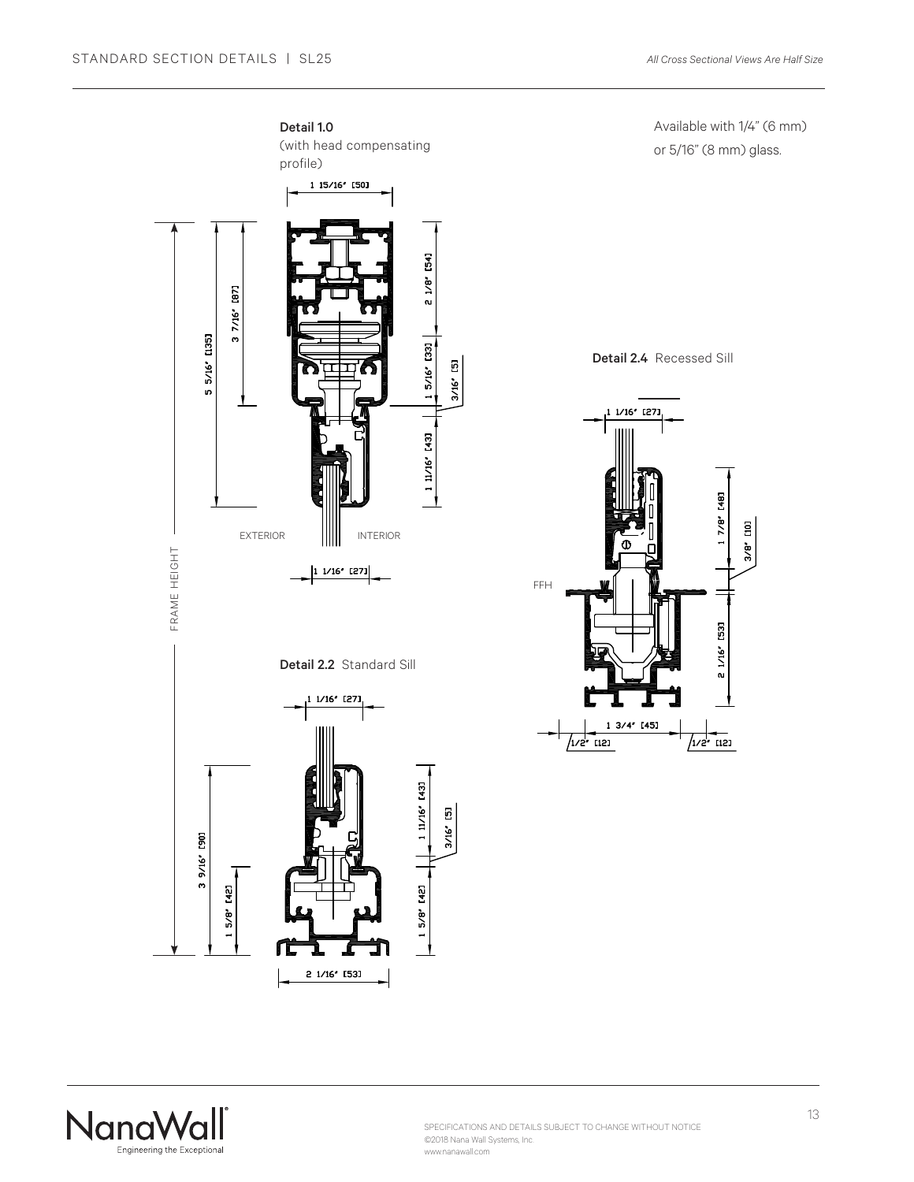

Available with 1/4" (6 mm) or 5/16" (8 mm) glass.

Detail 2.4 Recessed Sill



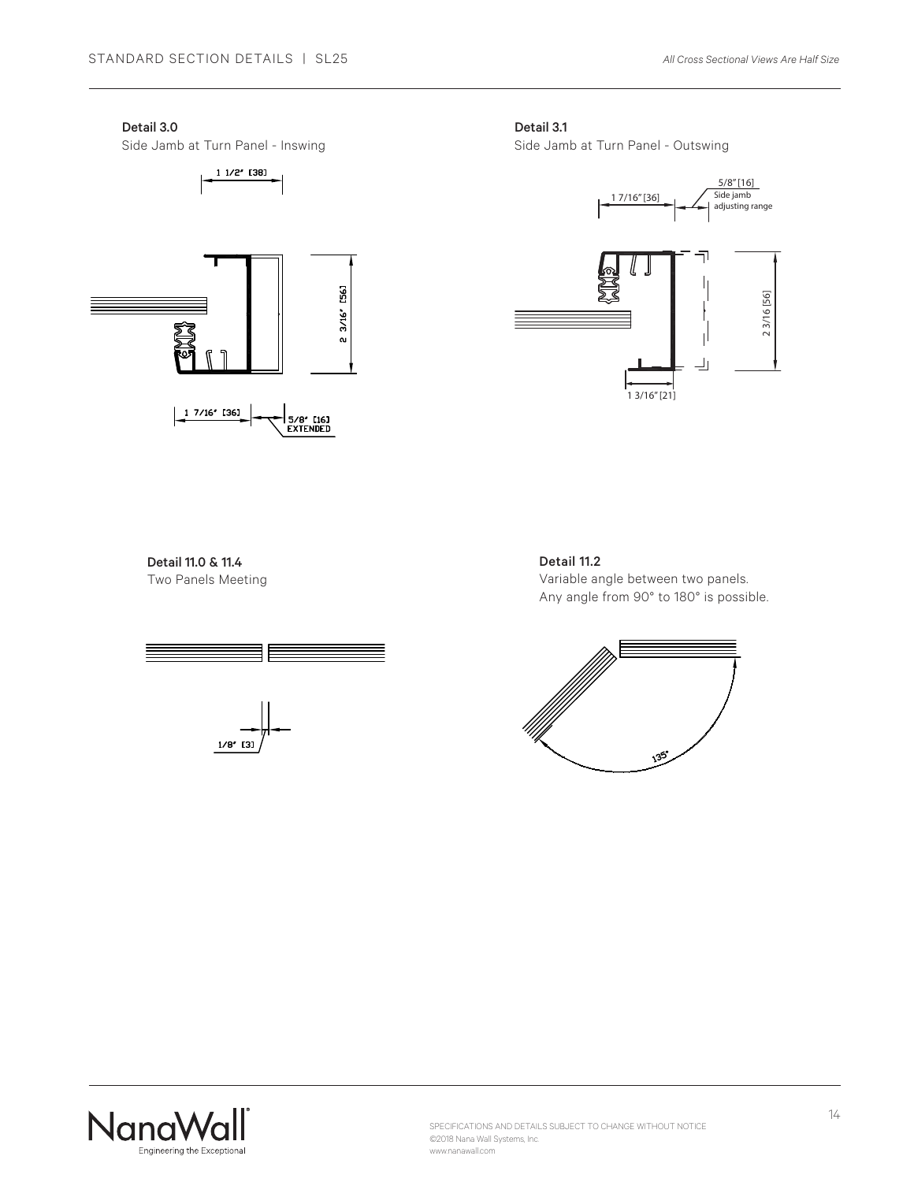#### Detail 3.0

Side Jamb at Turn Panel - Inswing

 $11/2'$  [38]



Detail 3.1

Side Jamb at Turn Panel - Outswing



# Detail 11.0 & 11.4 Two Panels Meeting



# Detail 11.2

Variable angle between two panels. Any angle from 90° to 180° is possible.



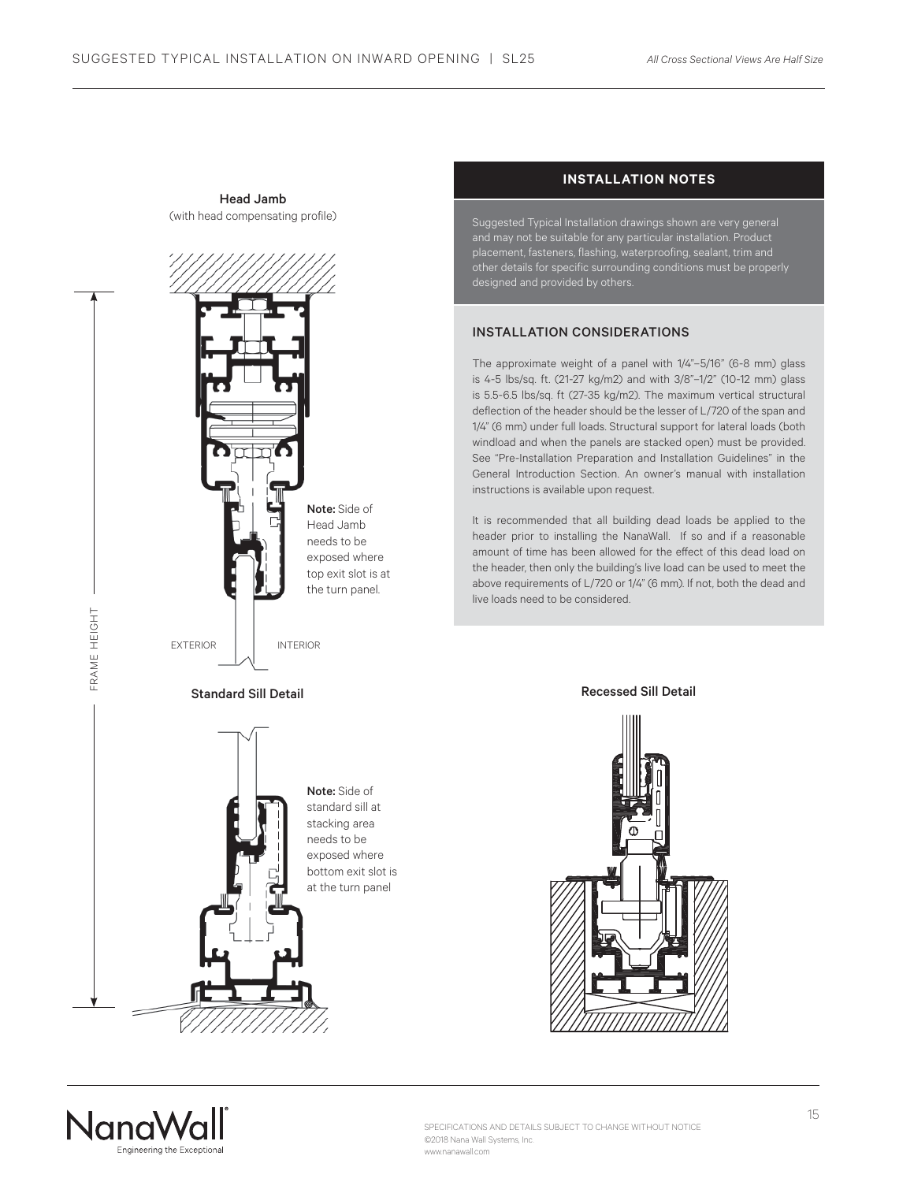

# Head Jamb (with head compensating profile)

# **INSTALLATION NOTES**

Suggested Typical Installation drawings shown are very general and may not be suitable for any particular installation. Product placement, fasteners, flashing, waterproofing, sealant, trim and other details for specific surrounding conditions must be properly designed and provided by others.

#### INSTALLATION CONSIDERATIONS

The approximate weight of a panel with 1/4"–5/16" (6-8 mm) glass is 4-5 lbs/sq. ft. (21-27 kg/m2) and with 3/8"–1/2" (10-12 mm) glass is 5.5-6.5 lbs/sq. ft (27-35 kg/m2). The maximum vertical structural deflection of the header should be the lesser of L/720 of the span and 1/4" (6 mm) under full loads. Structural support for lateral loads (both windload and when the panels are stacked open) must be provided. See "Pre-Installation Preparation and Installation Guidelines" in the General Introduction Section. An owner's manual with installation instructions is available upon request.

It is recommended that all building dead loads be applied to the header prior to installing the NanaWall. If so and if a reasonable amount of time has been allowed for the effect of this dead load on the header, then only the building's live load can be used to meet the above requirements of L/720 or 1/4" (6 mm). If not, both the dead and live loads need to be considered.

#### Recessed Sill Detail